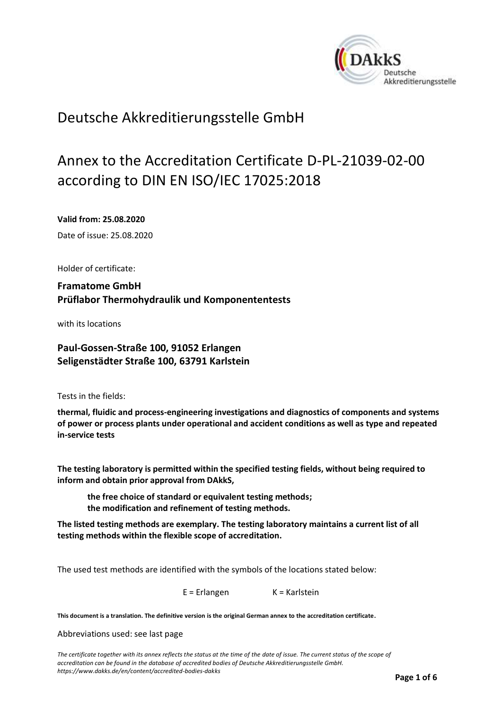<span id="page-0-0"></span>

# Deutsche Akkreditierungsstelle GmbH

# Annex to the Accreditation Certificate D-PL-21039-02-00 according to DIN EN ISO/IEC 17025:2018

<span id="page-0-1"></span>**Valid from: 25.08.2020**

<span id="page-0-2"></span>Date of issue: 25.08.2020

Holder of certificate:

**Framatome GmbH Prüflabor Thermohydraulik und Komponententests**

with its locations

**Paul-Gossen-Straße 100, 91052 Erlangen Seligenstädter Straße 100, 63791 Karlstein**

Tests in the fields:

**thermal, fluidic and process-engineering investigations and diagnostics of components and systems of power or process plants under operational and accident conditions as well as type and repeated in-service tests**

**The testing laboratory is permitted within the specified testing fields, without being required to inform and obtain prior approval from DAkkS,**

**the free choice of standard or equivalent testing methods; the modification and refinement of testing methods.**

**The listed testing methods are exemplary. The testing laboratory maintains a current list of all testing methods within the flexible scope of accreditation.**

The used test methods are identified with the symbols of the locations stated below:

E = Erlangen K = Karlstein

**This document is a translation. The definitive version is the original German annex to the accreditation certificate.**

Abbreviations used: see last page

*The certificate together with its annex reflects the status at the time of the date of issue. The current status of the scope of accreditation can be found in the database of accredited bodies of Deutsche Akkreditierungsstelle GmbH. <https://www.dakks.de/en/content/accredited-bodies-dakks>*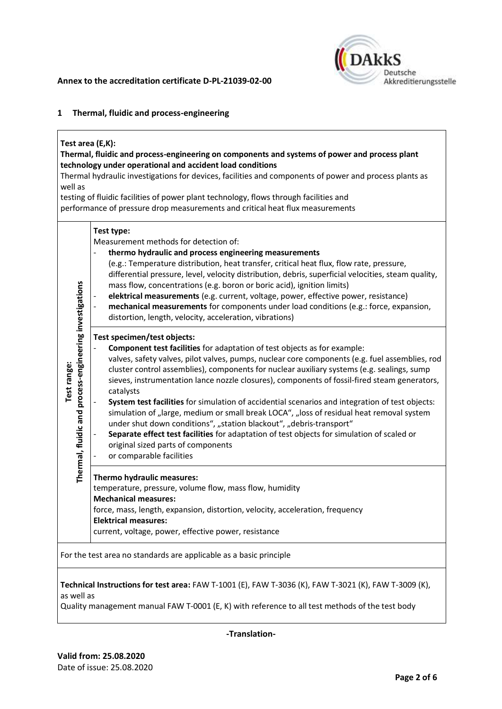

## **1 Thermal, fluidic and process-engineering**

## **Test area (E,K):**

# **Thermal, fluidic and process-engineering on components and systems of power and process plant technology under operational and accident load conditions**

Thermal hydraulic investigations for devices, facilities and components of power and process plants as well as

testing of fluidic facilities of power plant technology, flows through facilities and

performance of pressure drop measurements and critical heat flux measurements

| Thermal, fluidic and process-engineering investigations<br>Test range: | Test type:<br>Measurement methods for detection of:<br>thermo hydraulic and process engineering measurements<br>(e.g.: Temperature distribution, heat transfer, critical heat flux, flow rate, pressure,<br>differential pressure, level, velocity distribution, debris, superficial velocities, steam quality,<br>mass flow, concentrations (e.g. boron or boric acid), ignition limits)<br>elektrical measurements (e.g. current, voltage, power, effective power, resistance)<br>mechanical measurements for components under load conditions (e.g.: force, expansion,<br>distortion, length, velocity, acceleration, vibrations)<br>Test specimen/test objects:<br>Component test facilities for adaptation of test objects as for example: |  |  |
|------------------------------------------------------------------------|-------------------------------------------------------------------------------------------------------------------------------------------------------------------------------------------------------------------------------------------------------------------------------------------------------------------------------------------------------------------------------------------------------------------------------------------------------------------------------------------------------------------------------------------------------------------------------------------------------------------------------------------------------------------------------------------------------------------------------------------------|--|--|
|                                                                        | valves, safety valves, pilot valves, pumps, nuclear core components (e.g. fuel assemblies, rod<br>cluster control assemblies), components for nuclear auxiliary systems (e.g. sealings, sump<br>sieves, instrumentation lance nozzle closures), components of fossil-fired steam generators,<br>catalysts<br>System test facilities for simulation of accidential scenarios and integration of test objects:<br>simulation of "large, medium or small break LOCA", "loss of residual heat removal system<br>under shut down conditions", "station blackout", "debris-transport"<br>Separate effect test facilities for adaptation of test objects for simulation of scaled or<br>original sized parts of components<br>or comparable facilities |  |  |
|                                                                        | Thermo hydraulic measures:<br>temperature, pressure, volume flow, mass flow, humidity<br><b>Mechanical measures:</b><br>force, mass, length, expansion, distortion, velocity, acceleration, frequency<br><b>Elektrical measures:</b><br>current, voltage, power, effective power, resistance                                                                                                                                                                                                                                                                                                                                                                                                                                                    |  |  |
| For the test area no standards are applicable as a basic principle     |                                                                                                                                                                                                                                                                                                                                                                                                                                                                                                                                                                                                                                                                                                                                                 |  |  |

**Technical Instructions for test area:** FAW T-1001 (E), FAW T-3036 (K), FAW T-3021 (K), FAW T-3009 (K), as well as

Quality management manual FAW T-0001 (E, K) with reference to all test methods of the test body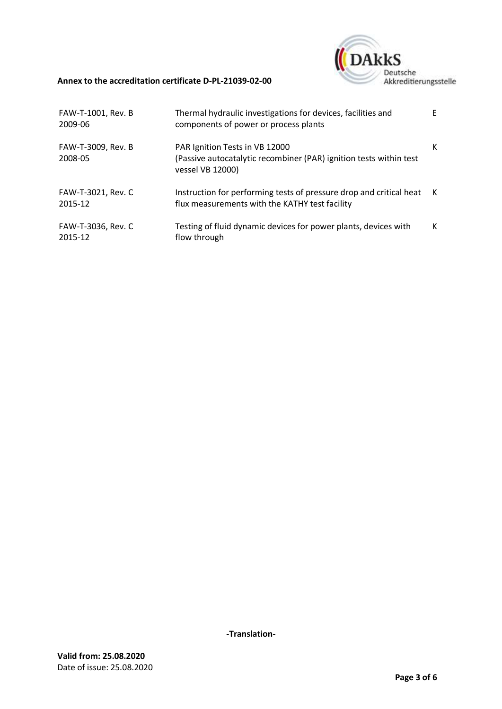

# **Annex to the accreditation certificate [D-PL-21039-02-00](#page-0-0)**

| FAW-T-1001, Rev. B<br>2009-06 | Thermal hydraulic investigations for devices, facilities and<br>components of power or process plants                    | F |
|-------------------------------|--------------------------------------------------------------------------------------------------------------------------|---|
| FAW-T-3009, Rev. B<br>2008-05 | PAR Ignition Tests in VB 12000<br>(Passive autocatalytic recombiner (PAR) ignition tests within test<br>vessel VB 12000) | К |
| FAW-T-3021, Rev. C<br>2015-12 | Instruction for performing tests of pressure drop and critical heat<br>flux measurements with the KATHY test facility    | K |
| FAW-T-3036, Rev. C<br>2015-12 | Testing of fluid dynamic devices for power plants, devices with<br>flow through                                          | к |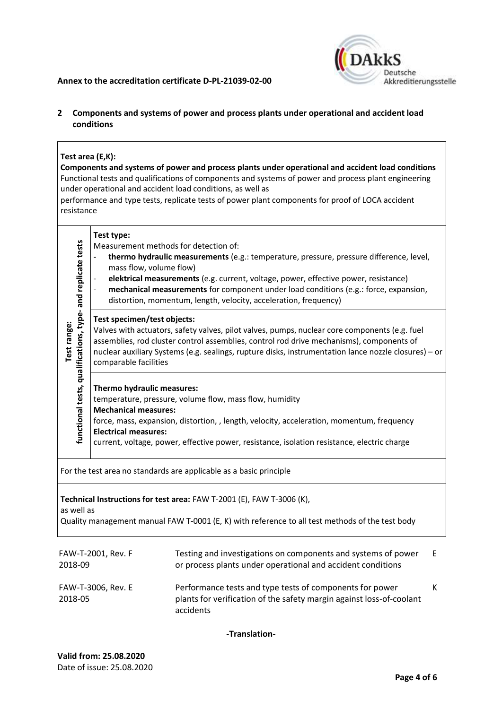#### **Annex to the accreditation certificate [D-PL-21039-02-00](#page-0-0)**



# **2 Components and systems of power and process plants under operational and accident load conditions**

# **Test area (E,K):**

**Components and systems of power and process plants under operational and accident load conditions** Functional tests and qualifications of components and systems of power and process plant engineering under operational and accident load conditions, as well as

performance and type tests, replicate tests of power plant components for proof of LOCA accident resistance

| functional tests, qualifications, type- and replicate tests<br>Test range:                                                                                                             | Test type:<br>Measurement methods for detection of:<br>mass flow, volume flow)                                                                                                                                                                                                                                                                            | thermo hydraulic measurements (e.g.: temperature, pressure, pressure difference, level,<br>elektrical measurements (e.g. current, voltage, power, effective power, resistance)<br>mechanical measurements for component under load conditions (e.g.: force, expansion,<br>distortion, momentum, length, velocity, acceleration, frequency) |   |  |  |
|----------------------------------------------------------------------------------------------------------------------------------------------------------------------------------------|-----------------------------------------------------------------------------------------------------------------------------------------------------------------------------------------------------------------------------------------------------------------------------------------------------------------------------------------------------------|--------------------------------------------------------------------------------------------------------------------------------------------------------------------------------------------------------------------------------------------------------------------------------------------------------------------------------------------|---|--|--|
|                                                                                                                                                                                        | Test specimen/test objects:<br>Valves with actuators, safety valves, pilot valves, pumps, nuclear core components (e.g. fuel<br>assemblies, rod cluster control assemblies, control rod drive mechanisms), components of<br>nuclear auxiliary Systems (e.g. sealings, rupture disks, instrumentation lance nozzle closures) - or<br>comparable facilities |                                                                                                                                                                                                                                                                                                                                            |   |  |  |
|                                                                                                                                                                                        | Thermo hydraulic measures:<br>temperature, pressure, volume flow, mass flow, humidity<br><b>Mechanical measures:</b><br>force, mass, expansion, distortion, , length, velocity, acceleration, momentum, frequency<br><b>Electrical measures:</b><br>current, voltage, power, effective power, resistance, isolation resistance, electric charge           |                                                                                                                                                                                                                                                                                                                                            |   |  |  |
|                                                                                                                                                                                        |                                                                                                                                                                                                                                                                                                                                                           | For the test area no standards are applicable as a basic principle                                                                                                                                                                                                                                                                         |   |  |  |
| Technical Instructions for test area: FAW T-2001 (E), FAW T-3006 (K),<br>as well as<br>Quality management manual FAW T-0001 (E, K) with reference to all test methods of the test body |                                                                                                                                                                                                                                                                                                                                                           |                                                                                                                                                                                                                                                                                                                                            |   |  |  |
| FAW-T-2001, Rev. F<br>2018-09                                                                                                                                                          |                                                                                                                                                                                                                                                                                                                                                           | Testing and investigations on components and systems of power<br>or process plants under operational and accident conditions                                                                                                                                                                                                               | Ε |  |  |
| FAW-T-3006, Rev. E<br>2018-05                                                                                                                                                          |                                                                                                                                                                                                                                                                                                                                                           | Performance tests and type tests of components for power<br>plants for verification of the safety margin against loss-of-coolant<br>accidents                                                                                                                                                                                              | K |  |  |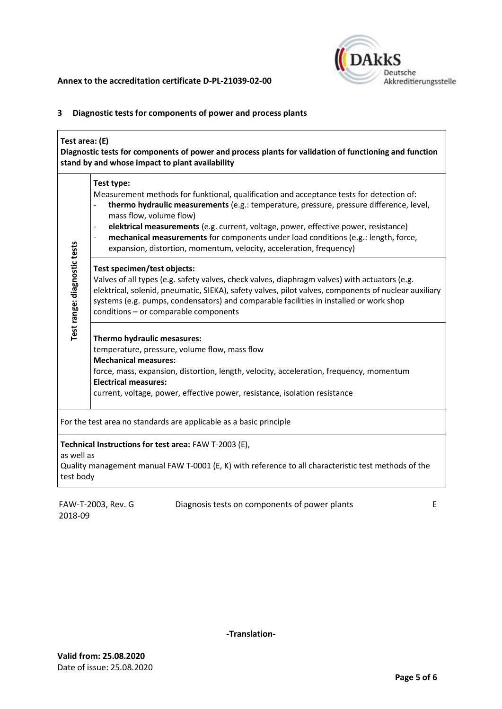

# **3 Diagnostic tests for components of power and process plants**

| Test area: (E)<br>Diagnostic tests for components of power and process plants for validation of functioning and function<br>stand by and whose impact to plant availability |                                                                                                                                                                                                                                                                                                                                                                                                                                                                                                                     |  |  |  |
|-----------------------------------------------------------------------------------------------------------------------------------------------------------------------------|---------------------------------------------------------------------------------------------------------------------------------------------------------------------------------------------------------------------------------------------------------------------------------------------------------------------------------------------------------------------------------------------------------------------------------------------------------------------------------------------------------------------|--|--|--|
| Test range: diagnostic tests                                                                                                                                                | Test type:<br>Measurement methods for funktional, qualification and acceptance tests for detection of:<br>thermo hydraulic measurements (e.g.: temperature, pressure, pressure difference, level,<br>$\frac{1}{2}$<br>mass flow, volume flow)<br>elektrical measurements (e.g. current, voltage, power, effective power, resistance)<br>mechanical measurements for components under load conditions (e.g.: length, force,<br>$\overline{a}$<br>expansion, distortion, momentum, velocity, acceleration, frequency) |  |  |  |
|                                                                                                                                                                             | Test specimen/test objects:<br>Valves of all types (e.g. safety valves, check valves, diaphragm valves) with actuators (e.g.<br>elektrical, solenid, pneumatic, SIEKA), safety valves, pilot valves, components of nuclear auxiliary<br>systems (e.g. pumps, condensators) and comparable facilities in installed or work shop<br>conditions - or comparable components                                                                                                                                             |  |  |  |
|                                                                                                                                                                             | Thermo hydraulic mesasures:<br>temperature, pressure, volume flow, mass flow<br><b>Mechanical measures:</b><br>force, mass, expansion, distortion, length, velocity, acceleration, frequency, momentum<br><b>Electrical measures:</b><br>current, voltage, power, effective power, resistance, isolation resistance                                                                                                                                                                                                 |  |  |  |
| For the test area no standards are applicable as a basic principle                                                                                                          |                                                                                                                                                                                                                                                                                                                                                                                                                                                                                                                     |  |  |  |
| as well as<br>test body                                                                                                                                                     | Technical Instructions for test area: FAW T-2003 (E),<br>Quality management manual FAW T-0001 (E, K) with reference to all characteristic test methods of the                                                                                                                                                                                                                                                                                                                                                       |  |  |  |
| Diagnosis tests on components of power plants<br>FAW-T-2003, Rev. G<br>E                                                                                                    |                                                                                                                                                                                                                                                                                                                                                                                                                                                                                                                     |  |  |  |

2018-09

Diagnosis tests on components of power plants E